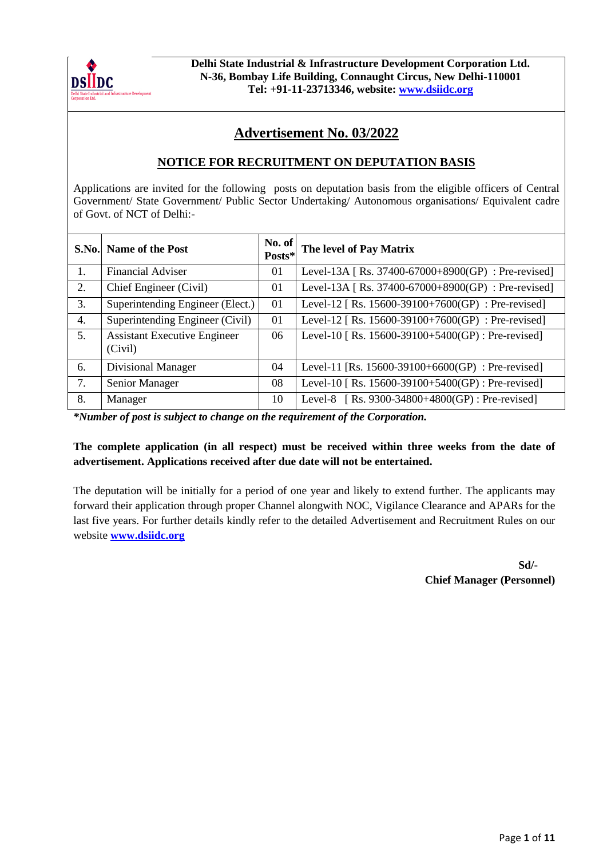

**Delhi State Industrial & Infrastructure Development Corporation Ltd. N-36, Bombay Life Building, Connaught Circus, New Delhi-110001 Tel: +91-11-23713346, website: [www.dsiidc.org](http://www.dsiidc.org/)**

# **Advertisement No. 03/2022**

## **NOTICE FOR RECRUITMENT ON DEPUTATION BASIS**

Applications are invited for the following posts on deputation basis from the eligible officers of Central Government/ State Government/ Public Sector Undertaking/ Autonomous organisations/ Equivalent cadre of Govt. of NCT of Delhi:-

|                  | S.No. Name of the Post                         | No. of<br>Posts* | The level of Pay Matrix                             |
|------------------|------------------------------------------------|------------------|-----------------------------------------------------|
| 1.               | <b>Financial Adviser</b>                       | 01               | Level-13A [Rs. 37400-67000+8900(GP) : Pre-revised]  |
| 2.               | Chief Engineer (Civil)                         | 01               | Level-13A [Rs. 37400-67000+8900(GP) : Pre-revised]  |
| 3.               | Superintending Engineer (Elect.)               | 01               | Level-12 [ Rs. 15600-39100+7600(GP) : Pre-revised]  |
| $\overline{4}$ . | Superintending Engineer (Civil)                | 01               | Level-12 [Rs. 15600-39100+7600(GP) : Pre-revised]   |
| 5.               | <b>Assistant Executive Engineer</b><br>(Civil) | 06               | Level-10 [ Rs. 15600-39100+5400(GP) : Pre-revised]  |
| 6.               | Divisional Manager                             | 04               | Level-11 [Rs. $15600-39100+6600(GP)$ : Pre-revised] |
| 7.               | Senior Manager                                 | 08               | Level-10 [ Rs. 15600-39100+5400(GP) : Pre-revised]  |
| 8.               | Manager                                        | 10               | Level-8 [ Rs. 9300-34800+4800(GP) : Pre-revised]    |

*\*Number of post is subject to change on the requirement of the Corporation.* 

#### **The complete application (in all respect) must be received within three weeks from the date of advertisement. Applications received after due date will not be entertained.**

The deputation will be initially for a period of one year and likely to extend further. The applicants may forward their application through proper Channel alongwith NOC, Vigilance Clearance and APARs for the last five years. For further details kindly refer to the detailed Advertisement and Recruitment Rules on our website **[www.dsiidc.org](http://www.dsiidc.org/)**

> **Sd/- Chief Manager (Personnel)**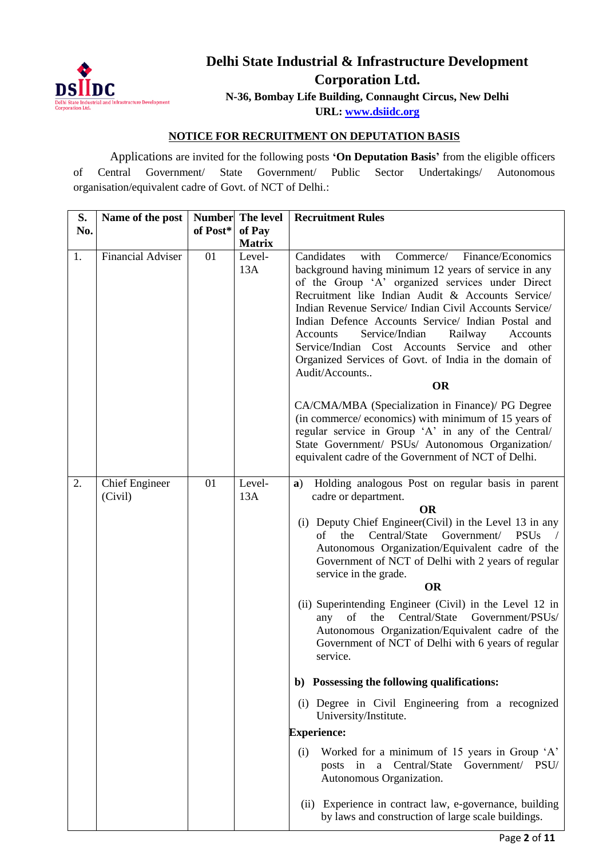

# **Delhi State Industrial & Infrastructure Development Corporation Ltd. N-36, Bombay Life Building, Connaught Circus, New Delhi**

**URL: [www.dsiidc.org](http://www.dsiidc.org/)**

### **NOTICE FOR RECRUITMENT ON DEPUTATION BASIS**

Applications are invited for the following posts **'On Deputation Basis'** from the eligible officers of Central Government/ State Government/ Public Sector Undertakings/ Autonomous organisation/equivalent cadre of Govt. of NCT of Delhi.:

| S.<br>No. | Name of the post                 | of Post* | Number The level<br>of Pay | <b>Recruitment Rules</b>                                                                                                                                                                                                                                                                                                                                                                                                                                                                                                          |  |  |  |  |
|-----------|----------------------------------|----------|----------------------------|-----------------------------------------------------------------------------------------------------------------------------------------------------------------------------------------------------------------------------------------------------------------------------------------------------------------------------------------------------------------------------------------------------------------------------------------------------------------------------------------------------------------------------------|--|--|--|--|
|           |                                  |          | <b>Matrix</b>              |                                                                                                                                                                                                                                                                                                                                                                                                                                                                                                                                   |  |  |  |  |
| 1.        | <b>Financial Adviser</b>         | 01       | Level-<br>13A              | Candidates<br>with<br>Finance/Economics<br>Commerce/<br>background having minimum 12 years of service in any<br>of the Group 'A' organized services under Direct<br>Recruitment like Indian Audit & Accounts Service/<br>Indian Revenue Service/ Indian Civil Accounts Service/<br>Indian Defence Accounts Service/ Indian Postal and<br>Service/Indian<br><b>Accounts</b><br>Railway<br>Accounts<br>Service/Indian Cost Accounts Service<br>and other<br>Organized Services of Govt. of India in the domain of<br>Audit/Accounts |  |  |  |  |
|           |                                  |          |                            | <b>OR</b>                                                                                                                                                                                                                                                                                                                                                                                                                                                                                                                         |  |  |  |  |
|           |                                  |          |                            | CA/CMA/MBA (Specialization in Finance)/ PG Degree<br>(in commerce/ economics) with minimum of 15 years of<br>regular service in Group 'A' in any of the Central/<br>State Government/ PSUs/ Autonomous Organization/<br>equivalent cadre of the Government of NCT of Delhi.                                                                                                                                                                                                                                                       |  |  |  |  |
| 2.        | <b>Chief Engineer</b><br>(Civil) | 01       | Level-<br>13A              | Holding analogous Post on regular basis in parent<br>$\mathbf{a}$ )<br>cadre or department.<br><b>OR</b><br>(i) Deputy Chief Engineer(Civil) in the Level 13 in any<br>Central/State<br>Government/ PSUs<br>of<br>the<br>Autonomous Organization/Equivalent cadre of the<br>Government of NCT of Delhi with 2 years of regular<br>service in the grade.<br><b>OR</b><br>(ii) Superintending Engineer (Civil) in the Level 12 in                                                                                                   |  |  |  |  |
|           |                                  |          |                            | of the Central/State Government/PSUs/<br>any<br>Autonomous Organization/Equivalent cadre of the<br>Government of NCT of Delhi with 6 years of regular<br>service.                                                                                                                                                                                                                                                                                                                                                                 |  |  |  |  |
|           |                                  |          |                            | b) Possessing the following qualifications:                                                                                                                                                                                                                                                                                                                                                                                                                                                                                       |  |  |  |  |
|           |                                  |          |                            | (i) Degree in Civil Engineering from a recognized<br>University/Institute.                                                                                                                                                                                                                                                                                                                                                                                                                                                        |  |  |  |  |
|           |                                  |          |                            | <b>Experience:</b>                                                                                                                                                                                                                                                                                                                                                                                                                                                                                                                |  |  |  |  |
|           |                                  |          |                            | Worked for a minimum of 15 years in Group 'A'<br>(i)<br>Central/State<br>Government/<br>in<br>PSU/<br>a<br>posts<br>Autonomous Organization.                                                                                                                                                                                                                                                                                                                                                                                      |  |  |  |  |
|           |                                  |          |                            | (ii) Experience in contract law, e-governance, building<br>by laws and construction of large scale buildings.                                                                                                                                                                                                                                                                                                                                                                                                                     |  |  |  |  |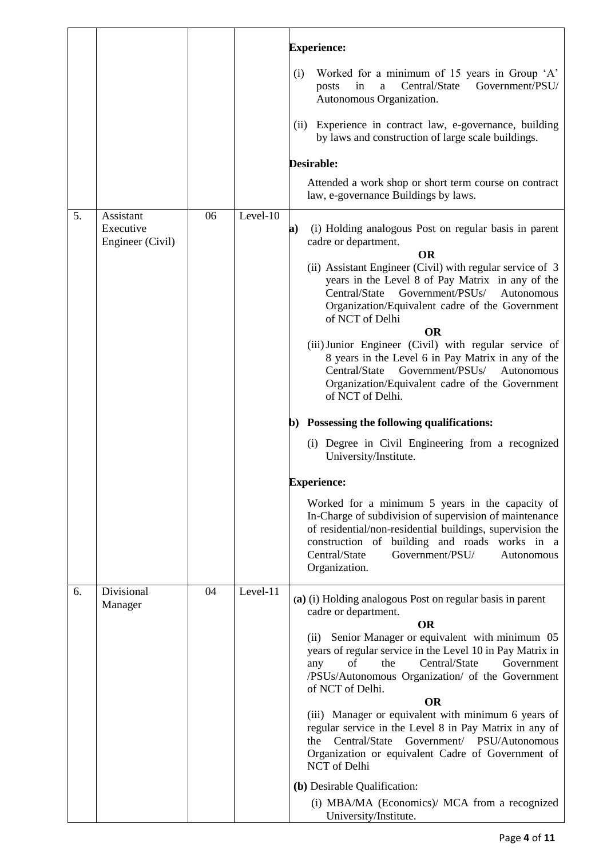|    |                                            |    |          | <b>Experience:</b>                                                                                                                                                                                                                                                                                                                                                                                                                                                                                                                                                                                                                                                                                                                                                                                                                                                                                                                                                                                                               |
|----|--------------------------------------------|----|----------|----------------------------------------------------------------------------------------------------------------------------------------------------------------------------------------------------------------------------------------------------------------------------------------------------------------------------------------------------------------------------------------------------------------------------------------------------------------------------------------------------------------------------------------------------------------------------------------------------------------------------------------------------------------------------------------------------------------------------------------------------------------------------------------------------------------------------------------------------------------------------------------------------------------------------------------------------------------------------------------------------------------------------------|
|    |                                            |    |          | Worked for a minimum of 15 years in Group 'A'<br>(i)<br>Central/State<br>Government/PSU/<br>in<br>a<br>posts<br>Autonomous Organization.                                                                                                                                                                                                                                                                                                                                                                                                                                                                                                                                                                                                                                                                                                                                                                                                                                                                                         |
|    |                                            |    |          | (ii) Experience in contract law, e-governance, building<br>by laws and construction of large scale buildings.                                                                                                                                                                                                                                                                                                                                                                                                                                                                                                                                                                                                                                                                                                                                                                                                                                                                                                                    |
|    |                                            |    |          | Desirable:                                                                                                                                                                                                                                                                                                                                                                                                                                                                                                                                                                                                                                                                                                                                                                                                                                                                                                                                                                                                                       |
|    |                                            |    |          | Attended a work shop or short term course on contract<br>law, e-governance Buildings by laws.                                                                                                                                                                                                                                                                                                                                                                                                                                                                                                                                                                                                                                                                                                                                                                                                                                                                                                                                    |
| 5. | Assistant<br>Executive<br>Engineer (Civil) | 06 | Level-10 | (i) Holding analogous Post on regular basis in parent<br>a)<br>cadre or department.<br><b>OR</b><br>(ii) Assistant Engineer (Civil) with regular service of 3<br>years in the Level 8 of Pay Matrix in any of the<br>Government/PSUs/<br>Central/State<br>Autonomous<br>Organization/Equivalent cadre of the Government<br>of NCT of Delhi<br><b>OR</b><br>(iii) Junior Engineer (Civil) with regular service of<br>8 years in the Level 6 in Pay Matrix in any of the<br>Central/State<br>Government/PSUs/<br>Autonomous<br>Organization/Equivalent cadre of the Government<br>of NCT of Delhi.<br>b) Possessing the following qualifications:<br>(i) Degree in Civil Engineering from a recognized<br>University/Institute.<br><b>Experience:</b><br>Worked for a minimum 5 years in the capacity of<br>In-Charge of subdivision of supervision of maintenance<br>of residential/non-residential buildings, supervision the<br>construction of building and roads works in a<br>Central/State<br>Government/PSU/<br>Autonomous |
|    |                                            |    |          | Organization.                                                                                                                                                                                                                                                                                                                                                                                                                                                                                                                                                                                                                                                                                                                                                                                                                                                                                                                                                                                                                    |
| 6. | Divisional<br>Manager                      | 04 | Level-11 | (a) (i) Holding analogous Post on regular basis in parent<br>cadre or department.<br><b>OR</b>                                                                                                                                                                                                                                                                                                                                                                                                                                                                                                                                                                                                                                                                                                                                                                                                                                                                                                                                   |
|    |                                            |    |          | (ii) Senior Manager or equivalent with minimum 05<br>years of regular service in the Level 10 in Pay Matrix in<br>the<br>Central/State<br>Government<br>of<br>any<br>/PSUs/Autonomous Organization/ of the Government<br>of NCT of Delhi.                                                                                                                                                                                                                                                                                                                                                                                                                                                                                                                                                                                                                                                                                                                                                                                        |
|    |                                            |    |          | <b>OR</b><br>(iii) Manager or equivalent with minimum 6 years of<br>regular service in the Level 8 in Pay Matrix in any of<br>the Central/State Government/ PSU/Autonomous<br>Organization or equivalent Cadre of Government of<br>NCT of Delhi                                                                                                                                                                                                                                                                                                                                                                                                                                                                                                                                                                                                                                                                                                                                                                                  |
|    |                                            |    |          | (b) Desirable Qualification:                                                                                                                                                                                                                                                                                                                                                                                                                                                                                                                                                                                                                                                                                                                                                                                                                                                                                                                                                                                                     |
|    |                                            |    |          | (i) MBA/MA (Economics)/ MCA from a recognized<br>University/Institute.                                                                                                                                                                                                                                                                                                                                                                                                                                                                                                                                                                                                                                                                                                                                                                                                                                                                                                                                                           |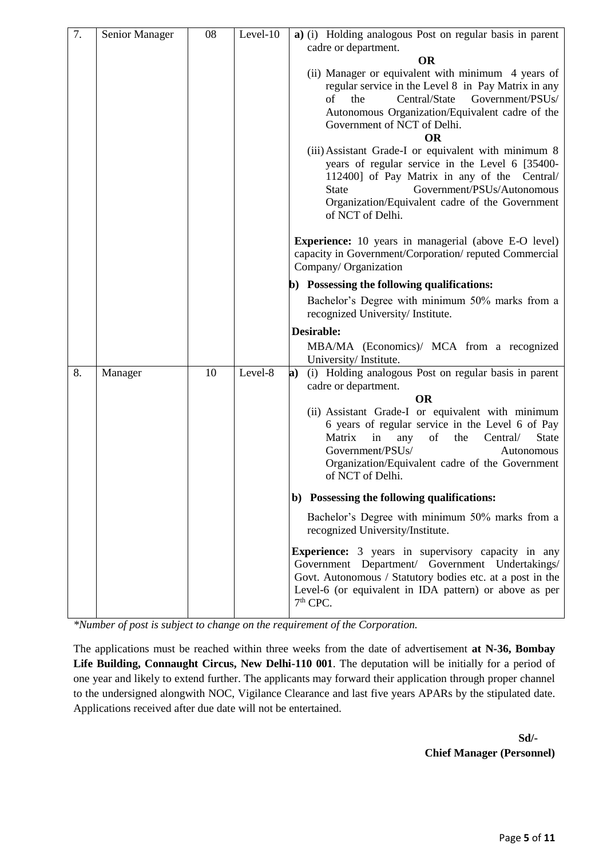| 7. | Senior Manager | 08 | Level-10 | a) (i) Holding analogous Post on regular basis in parent                            |  |  |  |  |
|----|----------------|----|----------|-------------------------------------------------------------------------------------|--|--|--|--|
|    |                |    |          | cadre or department.                                                                |  |  |  |  |
|    |                |    |          | <b>OR</b>                                                                           |  |  |  |  |
|    |                |    |          | (ii) Manager or equivalent with minimum 4 years of                                  |  |  |  |  |
|    |                |    |          | regular service in the Level 8 in Pay Matrix in any                                 |  |  |  |  |
|    |                |    |          | Central/State<br>Government/PSUs/<br>of<br>the                                      |  |  |  |  |
|    |                |    |          | Autonomous Organization/Equivalent cadre of the                                     |  |  |  |  |
|    |                |    |          | Government of NCT of Delhi.<br><b>OR</b>                                            |  |  |  |  |
|    |                |    |          | (iii) Assistant Grade-I or equivalent with minimum 8                                |  |  |  |  |
|    |                |    |          | years of regular service in the Level 6 [35400-                                     |  |  |  |  |
|    |                |    |          | 112400] of Pay Matrix in any of the Central/                                        |  |  |  |  |
|    |                |    |          | Government/PSUs/Autonomous<br><b>State</b>                                          |  |  |  |  |
|    |                |    |          | Organization/Equivalent cadre of the Government<br>of NCT of Delhi.                 |  |  |  |  |
|    |                |    |          |                                                                                     |  |  |  |  |
|    |                |    |          | <b>Experience:</b> 10 years in managerial (above E-O level)                         |  |  |  |  |
|    |                |    |          | capacity in Government/Corporation/reputed Commercial                               |  |  |  |  |
|    |                |    |          | Company/Organization                                                                |  |  |  |  |
|    |                |    |          | b) Possessing the following qualifications:                                         |  |  |  |  |
|    |                |    |          | Bachelor's Degree with minimum 50% marks from a                                     |  |  |  |  |
|    |                |    |          | recognized University/Institute.                                                    |  |  |  |  |
|    |                |    |          |                                                                                     |  |  |  |  |
|    |                |    |          | Desirable:                                                                          |  |  |  |  |
|    |                |    |          | MBA/MA (Economics)/ MCA from a recognized                                           |  |  |  |  |
|    |                |    |          | University/Institute.                                                               |  |  |  |  |
| 8. | Manager        | 10 | Level-8  | (i) Holding analogous Post on regular basis in parent<br>a)                         |  |  |  |  |
|    |                |    |          | cadre or department.<br><b>OR</b>                                                   |  |  |  |  |
|    |                |    |          | (ii) Assistant Grade-I or equivalent with minimum                                   |  |  |  |  |
|    |                |    |          | 6 years of regular service in the Level 6 of Pay                                    |  |  |  |  |
|    |                |    |          | Matrix<br>in<br>of<br>Central/<br><b>State</b><br>the<br>any                        |  |  |  |  |
|    |                |    |          | Government/PSUs/<br>Autonomous                                                      |  |  |  |  |
|    |                |    |          | Organization/Equivalent cadre of the Government<br>of NCT of Delhi.                 |  |  |  |  |
|    |                |    |          | b) Possessing the following qualifications:                                         |  |  |  |  |
|    |                |    |          |                                                                                     |  |  |  |  |
|    |                |    |          | Bachelor's Degree with minimum 50% marks from a<br>recognized University/Institute. |  |  |  |  |
|    |                |    |          | <b>Experience:</b> 3 years in supervisory capacity in any                           |  |  |  |  |
|    |                |    |          | Government Department/ Government Undertakings/                                     |  |  |  |  |
|    |                |    |          | Govt. Autonomous / Statutory bodies etc. at a post in the                           |  |  |  |  |
|    |                |    |          | Level-6 (or equivalent in IDA pattern) or above as per<br>$7th$ CPC.                |  |  |  |  |

*\*Number of post is subject to change on the requirement of the Corporation.*

The applications must be reached within three weeks from the date of advertisement **at N-36, Bombay Life Building, Connaught Circus, New Delhi-110 001**. The deputation will be initially for a period of one year and likely to extend further. The applicants may forward their application through proper channel to the undersigned alongwith NOC, Vigilance Clearance and last five years APARs by the stipulated date. Applications received after due date will not be entertained.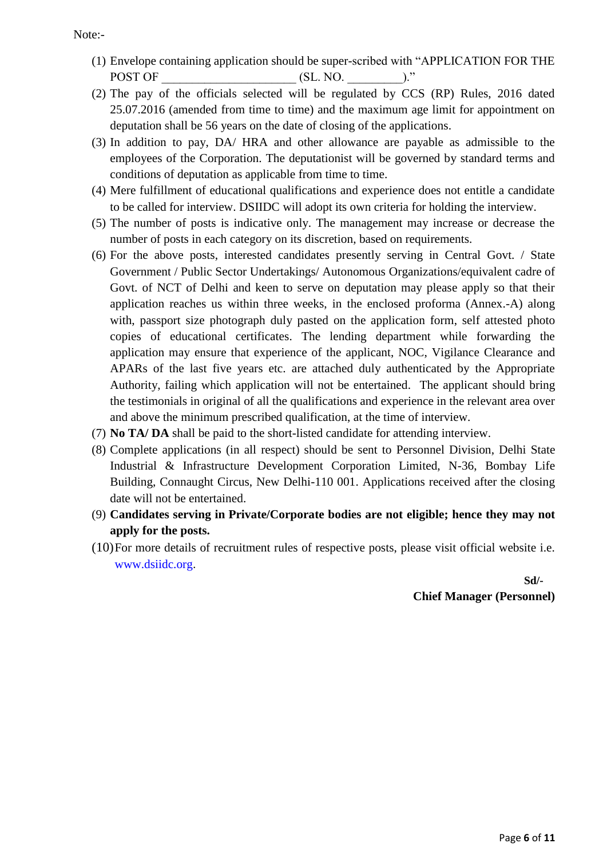Note:-

- (1) Envelope containing application should be super-scribed with "APPLICATION FOR THE POST OF  $(SL. NO. )$ ."
- (2) The pay of the officials selected will be regulated by CCS (RP) Rules, 2016 dated 25.07.2016 (amended from time to time) and the maximum age limit for appointment on deputation shall be 56 years on the date of closing of the applications.
- (3) In addition to pay, DA/ HRA and other allowance are payable as admissible to the employees of the Corporation. The deputationist will be governed by standard terms and conditions of deputation as applicable from time to time.
- (4) Mere fulfillment of educational qualifications and experience does not entitle a candidate to be called for interview. DSIIDC will adopt its own criteria for holding the interview.
- (5) The number of posts is indicative only. The management may increase or decrease the number of posts in each category on its discretion, based on requirements.
- (6) For the above posts, interested candidates presently serving in Central Govt. / State Government / Public Sector Undertakings/ Autonomous Organizations/equivalent cadre of Govt. of NCT of Delhi and keen to serve on deputation may please apply so that their application reaches us within three weeks, in the enclosed proforma (Annex.-A) along with, passport size photograph duly pasted on the application form, self attested photo copies of educational certificates. The lending department while forwarding the application may ensure that experience of the applicant, NOC, Vigilance Clearance and APARs of the last five years etc. are attached duly authenticated by the Appropriate Authority, failing which application will not be entertained. The applicant should bring the testimonials in original of all the qualifications and experience in the relevant area over and above the minimum prescribed qualification, at the time of interview.
- (7) **No TA/ DA** shall be paid to the short-listed candidate for attending interview.
- (8) Complete applications (in all respect) should be sent to Personnel Division, Delhi State Industrial & Infrastructure Development Corporation Limited, N-36, Bombay Life Building, Connaught Circus, New Delhi-110 001. Applications received after the closing date will not be entertained.
- (9) **Candidates serving in Private/Corporate bodies are not eligible; hence they may not apply for the posts.**
- (10)For more details of recruitment rules of respective posts, please visit official website i.e. [www.dsiidc.org](http://www.dsiidc.org/).

 **Sd/- Chief Manager (Personnel)**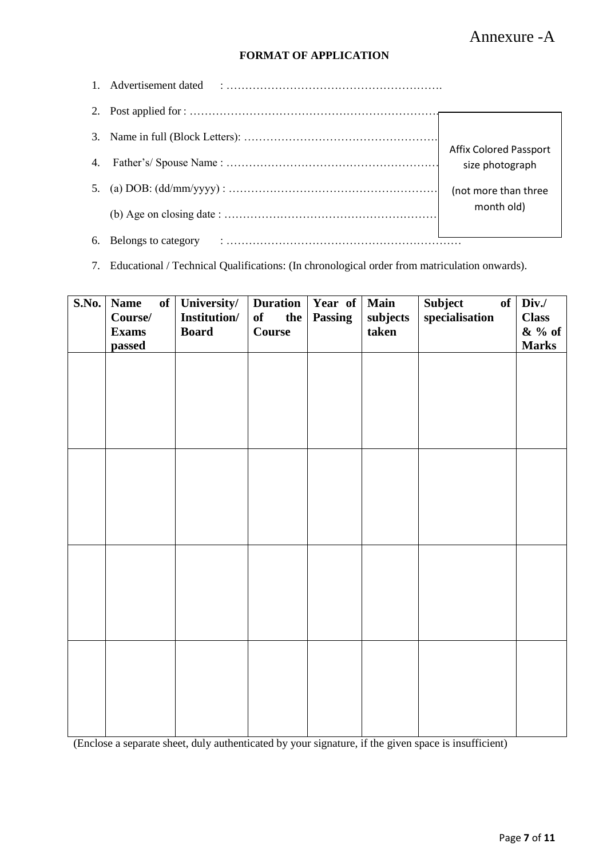#### **FORMAT OF APPLICATION**

1. Advertisement dated : ………………………………………………….

| 3. |                               |
|----|-------------------------------|
|    | <b>Affix Colored Passport</b> |
|    | size photograph               |
| 5. | (not more than three          |
|    | month old)                    |
|    |                               |
|    |                               |
| 6. |                               |

7. Educational / Technical Qualifications: (In chronological order from matriculation onwards).

| S.No. | <b>Name</b><br>Course/<br><b>Exams</b><br>passed | of University/<br>Institution/<br><b>Board</b> | Duration   Year of  <br>the<br>of<br><b>Course</b> | <b>Passing</b> | <b>Main</b><br>subjects<br>taken | Subject<br>of<br>specialisation | Div./<br><b>Class</b><br>& % of<br><b>Marks</b> |
|-------|--------------------------------------------------|------------------------------------------------|----------------------------------------------------|----------------|----------------------------------|---------------------------------|-------------------------------------------------|
|       |                                                  |                                                |                                                    |                |                                  |                                 |                                                 |
|       |                                                  |                                                |                                                    |                |                                  |                                 |                                                 |
|       |                                                  |                                                |                                                    |                |                                  |                                 |                                                 |
|       |                                                  |                                                |                                                    |                |                                  |                                 |                                                 |
|       |                                                  |                                                |                                                    |                |                                  |                                 |                                                 |
|       |                                                  |                                                |                                                    |                |                                  |                                 |                                                 |
|       |                                                  |                                                |                                                    |                |                                  |                                 |                                                 |
|       |                                                  |                                                |                                                    |                |                                  |                                 |                                                 |

(Enclose a separate sheet, duly authenticated by your signature, if the given space is insufficient)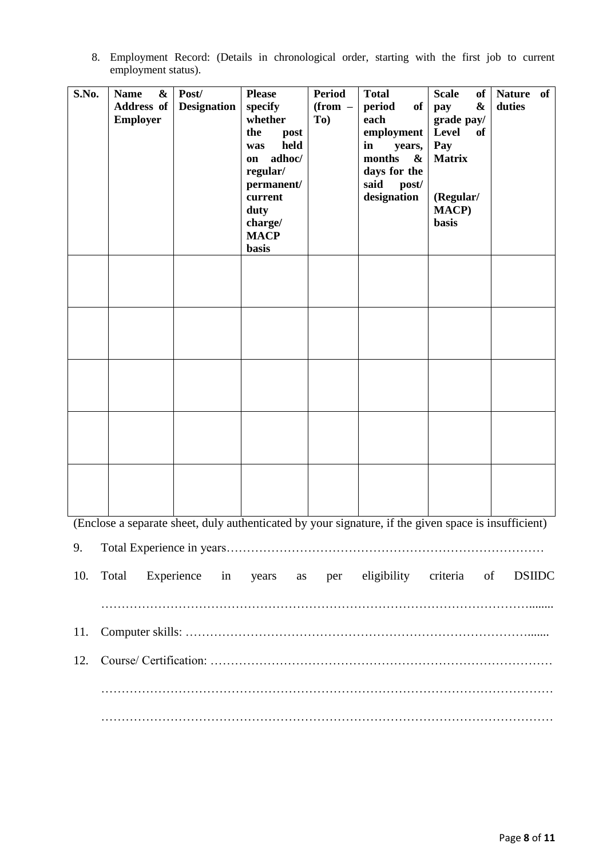|                     |  | 8. Employment Record: (Details in chronological order, starting with the first job to current |  |  |  |  |
|---------------------|--|-----------------------------------------------------------------------------------------------|--|--|--|--|
| employment status). |  |                                                                                               |  |  |  |  |

| S.No. | $\boldsymbol{\&}$<br><b>Name</b><br>Address of<br><b>Employer</b> | Post/<br><b>Designation</b> | <b>Please</b><br>specify<br>whether<br>the<br>post<br>held<br>was<br>adhoc/<br>on<br>regular/<br>permanent/<br>current<br>duty<br>charge/<br><b>MACP</b><br>basis | <b>Period</b><br>$(from -$<br>To) | <b>Total</b><br>period<br>of<br>each<br>employment<br>in<br>years,<br>months<br>$\boldsymbol{\&}$<br>days for the<br>said<br>post/<br>designation | <b>Scale</b><br><b>of</b><br>$\boldsymbol{\&}$<br>pay<br>grade pay/<br>Level<br><b>of</b><br>Pay<br><b>Matrix</b><br>(Regular/<br><b>MACP</b> )<br><b>basis</b> | Nature of<br>duties |  |
|-------|-------------------------------------------------------------------|-----------------------------|-------------------------------------------------------------------------------------------------------------------------------------------------------------------|-----------------------------------|---------------------------------------------------------------------------------------------------------------------------------------------------|-----------------------------------------------------------------------------------------------------------------------------------------------------------------|---------------------|--|
|       |                                                                   |                             |                                                                                                                                                                   |                                   |                                                                                                                                                   |                                                                                                                                                                 |                     |  |
|       |                                                                   |                             |                                                                                                                                                                   |                                   |                                                                                                                                                   |                                                                                                                                                                 |                     |  |
|       |                                                                   |                             |                                                                                                                                                                   |                                   |                                                                                                                                                   |                                                                                                                                                                 |                     |  |
|       |                                                                   |                             |                                                                                                                                                                   |                                   |                                                                                                                                                   |                                                                                                                                                                 |                     |  |
|       |                                                                   |                             |                                                                                                                                                                   |                                   |                                                                                                                                                   |                                                                                                                                                                 |                     |  |
|       |                                                                   |                             |                                                                                                                                                                   |                                   | (Enclose a separate sheet, duly authenticated by your signature, if the given space is insufficient)                                              |                                                                                                                                                                 |                     |  |
| 9.    |                                                                   |                             |                                                                                                                                                                   |                                   |                                                                                                                                                   |                                                                                                                                                                 |                     |  |

10. Total Experience in years as per eligibility criteria of DSIIDC ……………………………………………………………………………………………........ 11. Computer skills: …………………………………………………………………………....... 12. Course/ Certification: ………………………………………………………………………… ………………………………………………………………………………………………… …………………………………………………………………………………………………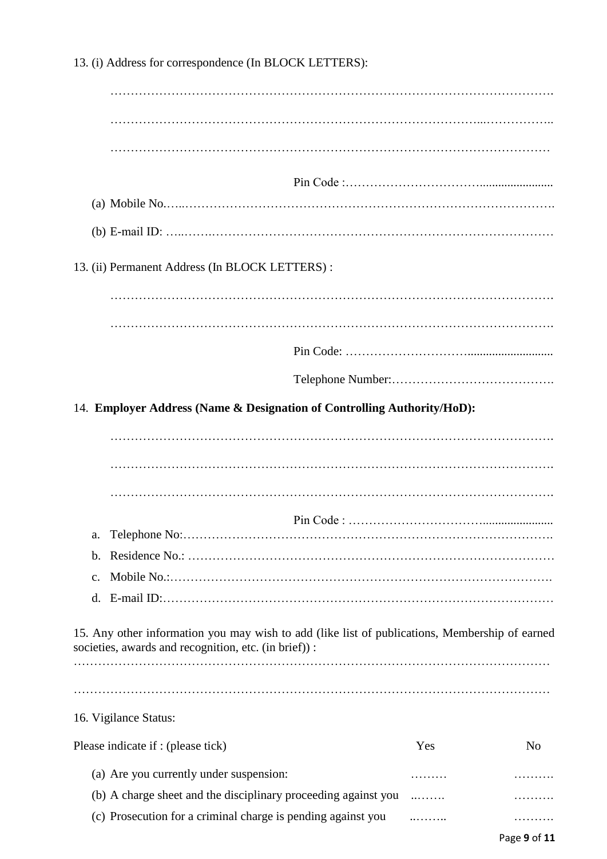………………………………………………………………………………………………. ………………………………………………………………………………...…………….. ……………………………………………………………………………………………… Pin Code :……………………………........................ (a) Mobile No.…..………………………………………………………………………………. (b) E-mail ID: …..…….………………………………………………………………………… 13. (ii) Permanent Address (In BLOCK LETTERS) : ………………………………………………………………………………………………. ………………………………………………………………………………………………. Pin Code: …………………………............................ Telephone Number:…………………………………. 14. **Employer Address (Name & Designation of Controlling Authority/HoD):** ………………………………………………………………………………………………. ………………………………………………………………………………………………. ………………………………………………………………………………………………. Pin Code : ……………………………....................... a. Telephone No:………………………………………………………………………………. b. Residence No.: ……………………………………………………………………………… c. Mobile No.:…………………………………………………………………………………. d. E-mail ID:…………………………………………………………………………………… 15. Any other information you may wish to add (like list of publications, Membership of earned societies, awards and recognition, etc. (in brief)) : ……………………………………………………………………………………………………… ……………………………………………………………………………………………………… 16. Vigilance Status: Please indicate if : (please tick) Yes No (a) Are you currently under suspension: ……… ………. (b) A charge sheet and the disciplinary proceeding against you .......... (c) Prosecution for a criminal charge is pending against you ..…….. ……….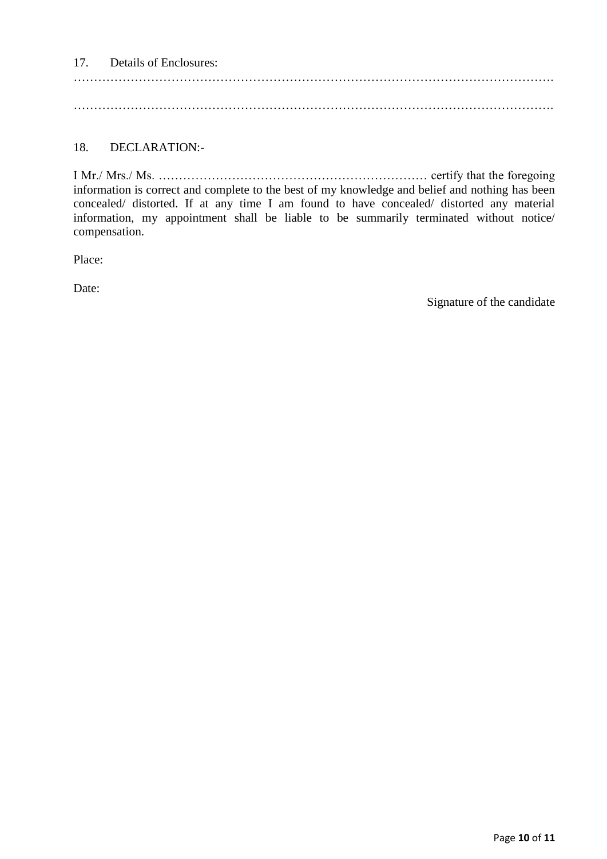17. Details of Enclosures: ………………………………………………………………………………………………………. ……………………………………………………………………………………………………….

#### 18. DECLARATION:-

I Mr./ Mrs./ Ms. ………………………………………………………… certify that the foregoing information is correct and complete to the best of my knowledge and belief and nothing has been concealed/ distorted. If at any time I am found to have concealed/ distorted any material information, my appointment shall be liable to be summarily terminated without notice/ compensation.

Place:

Date:

Signature of the candidate